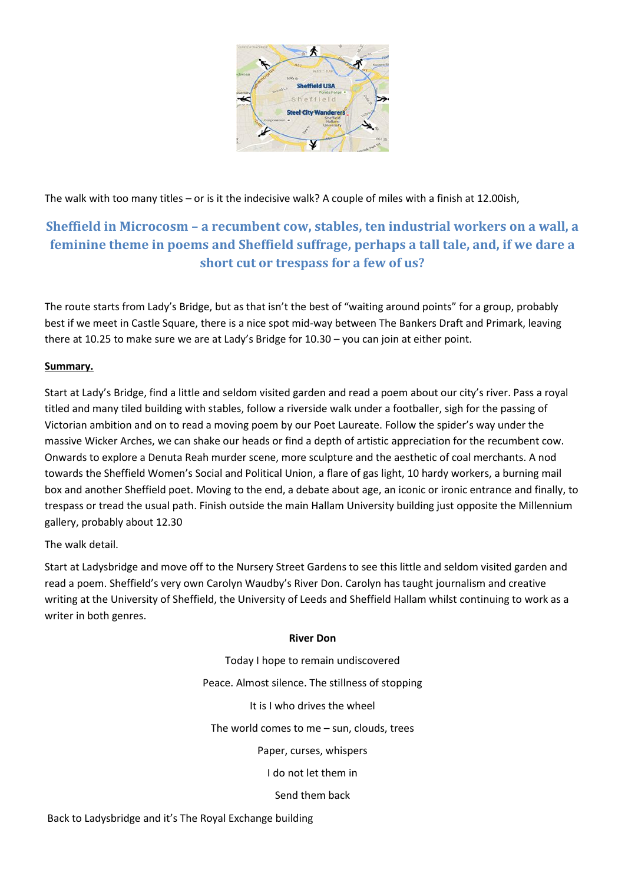

The walk with too many titles – or is it the indecisive walk? A couple of miles with a finish at 12.00ish,

## **Sheffield in Microcosm – a recumbent cow, stables, ten industrial workers on a wall, a feminine theme in poems and Sheffield suffrage, perhaps a tall tale, and, if we dare a short cut or trespass for a few of us?**

The route starts from Lady's Bridge, but as that isn't the best of "waiting around points" for a group, probably best if we meet in Castle Square, there is a nice spot mid-way between The Bankers Draft and Primark, leaving there at 10.25 to make sure we are at Lady's Bridge for 10.30 – you can join at either point.

### **Summary.**

Start at Lady's Bridge, find a little and seldom visited garden and read a poem about our city's river. Pass a royal titled and many tiled building with stables, follow a riverside walk under a footballer, sigh for the passing of Victorian ambition and on to read a moving poem by our Poet Laureate. Follow the spider's way under the massive Wicker Arches, we can shake our heads or find a depth of artistic appreciation for the recumbent cow. Onwards to explore a Denuta Reah murder scene, more sculpture and the aesthetic of coal merchants. A nod towards the Sheffield Women's Social and Political Union, a flare of gas light, 10 hardy workers, a burning mail box and another Sheffield poet. Moving to the end, a debate about age, an iconic or ironic entrance and finally, to trespass or tread the usual path. Finish outside the main Hallam University building just opposite the Millennium gallery, probably about 12.30

The walk detail.

Start at Ladysbridge and move off to the Nursery Street Gardens to see this little and seldom visited garden and read a poem. Sheffield's very own Carolyn Waudby's River Don. Carolyn has taught journalism and creative writing at the University of Sheffield, the University of Leeds and Sheffield Hallam whilst continuing to work as a writer in both genres.

### **River Don**

Today I hope to remain undiscovered Peace. Almost silence. The stillness of stopping

It is I who drives the wheel

The world comes to me – sun, clouds, trees

Paper, curses, whispers

I do not let them in

Send them back

Back to Ladysbridge and it's The Royal Exchange building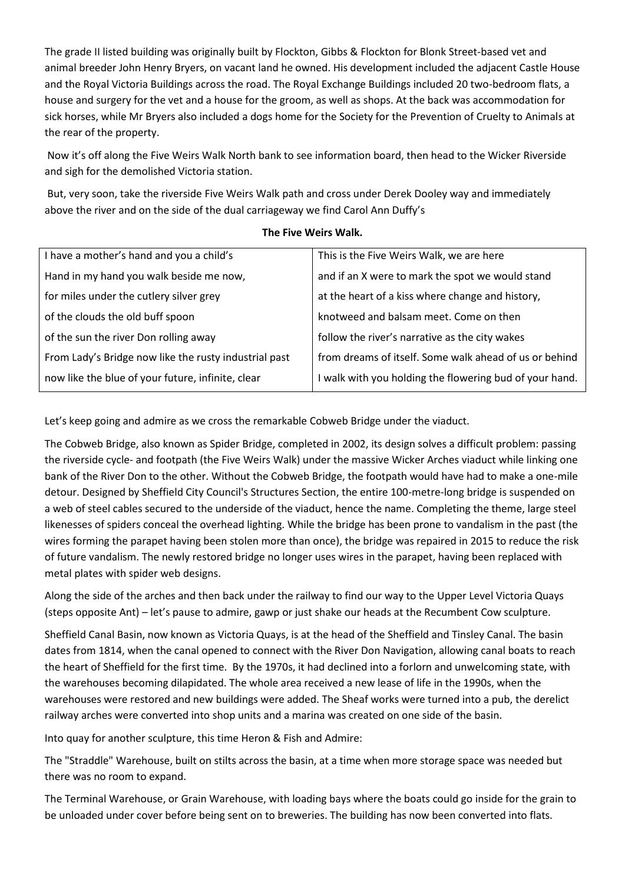The grade II listed building was originally built by Flockton, Gibbs & Flockton for Blonk Street-based vet and animal breeder John Henry Bryers, on vacant land he owned. His development included the adjacent Castle House and the Royal Victoria Buildings across the road. The Royal Exchange Buildings included 20 two-bedroom flats, a house and surgery for the vet and a house for the groom, as well as shops. At the back was accommodation for sick horses, while Mr Bryers also included a dogs home for the Society for the Prevention of Cruelty to Animals at the rear of the property.

Now it's off along the Five Weirs Walk North bank to see information board, then head to the Wicker Riverside and sigh for the demolished Victoria station.

But, very soon, take the riverside Five Weirs Walk path and cross under Derek Dooley way and immediately above the river and on the side of the dual carriageway we find Carol Ann Duffy's

| I have a mother's hand and you a child's              | This is the Five Weirs Walk, we are here                |
|-------------------------------------------------------|---------------------------------------------------------|
| Hand in my hand you walk beside me now,               | and if an X were to mark the spot we would stand        |
| for miles under the cutlery silver grey               | at the heart of a kiss where change and history,        |
| of the clouds the old buff spoon                      | knotweed and balsam meet. Come on then                  |
| of the sun the river Don rolling away                 | follow the river's narrative as the city wakes          |
| From Lady's Bridge now like the rusty industrial past | from dreams of itself. Some walk ahead of us or behind  |
| now like the blue of your future, infinite, clear     | I walk with you holding the flowering bud of your hand. |
|                                                       |                                                         |

#### **The Five Weirs Walk.**

Let's keep going and admire as we cross the remarkable Cobweb Bridge under the viaduct.

The Cobweb Bridge, also known as Spider Bridge, completed in 2002, its design solves a difficult problem: passing the riverside cycle- and footpath (the Five Weirs Walk) under the massive Wicker Arches viaduct while linking one bank of the River Don to the other. Without the Cobweb Bridge, the footpath would have had to make a one-mile detour. Designed by Sheffield City Council's Structures Section, the entire 100-metre-long bridge is suspended on a web of steel cables secured to the underside of the viaduct, hence the name. Completing the theme, large steel likenesses of spiders conceal the overhead lighting. While the bridge has been prone to vandalism in the past (the wires forming the parapet having been stolen more than once), the bridge was repaired in 2015 to reduce the risk of future vandalism. The newly restored bridge no longer uses wires in the parapet, having been replaced with metal plates with spider web designs.

Along the side of the arches and then back under the railway to find our way to the Upper Level Victoria Quays (steps opposite Ant) – let's pause to admire, gawp or just shake our heads at the Recumbent Cow sculpture.

Sheffield Canal Basin, now known as Victoria Quays, is at the head of the Sheffield and Tinsley Canal. The basin dates from 1814, when the canal opened to connect with the River Don Navigation, allowing canal boats to reach the heart of Sheffield for the first time. By the 1970s, it had declined into a forlorn and unwelcoming state, with the warehouses becoming dilapidated. The whole area received a new lease of life in the 1990s, when the warehouses were restored and new buildings were added. The Sheaf works were turned into a pub, the derelict railway arches were converted into shop units and a marina was created on one side of the basin.

Into quay for another sculpture, this time Heron & Fish and Admire:

The "Straddle" Warehouse, built on stilts across the basin, at a time when more storage space was needed but there was no room to expand.

The Terminal Warehouse, or Grain Warehouse, with loading bays where the boats could go inside for the grain to be unloaded under cover before being sent on to breweries. The building has now been converted into flats.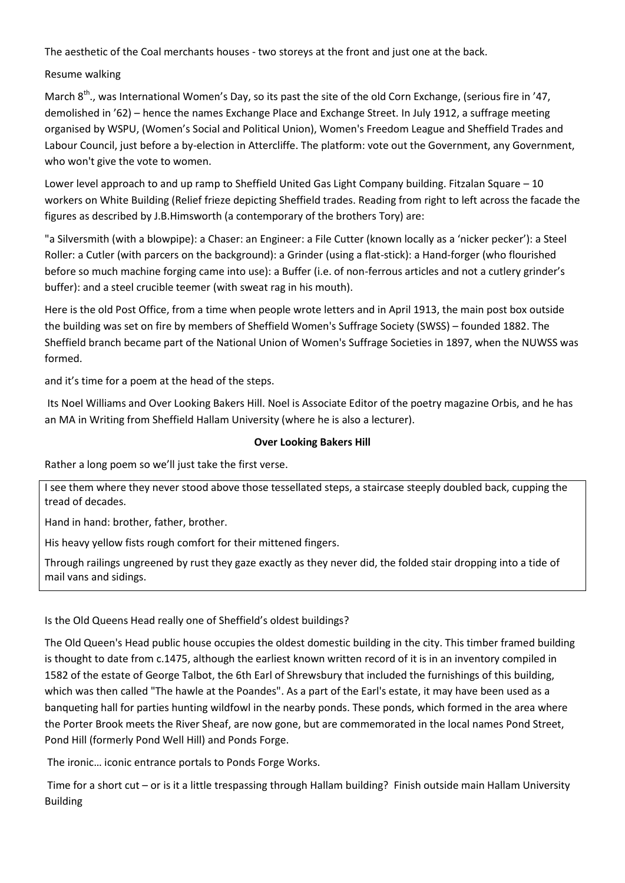The aesthetic of the Coal merchants houses - two storeys at the front and just one at the back.

## Resume walking

March  $8^{th}$ ., was International Women's Day, so its past the site of the old Corn Exchange, (serious fire in '47, demolished in '62) – hence the names Exchange Place and Exchange Street. In July 1912, a suffrage meeting organised by WSPU, (Women's Social and Political Union), Women's Freedom League and Sheffield Trades and Labour Council, just before a by-election in Attercliffe. The platform: vote out the Government, any Government, who won't give the vote to women.

Lower level approach to and up ramp to Sheffield United Gas Light Company building. Fitzalan Square – 10 workers on White Building (Relief frieze depicting Sheffield trades. Reading from right to left across the facade the figures as described by J.B.Himsworth (a contemporary of the brothers Tory) are:

"a Silversmith (with a blowpipe): a Chaser: an Engineer: a File Cutter (known locally as a 'nicker pecker'): a Steel Roller: a Cutler (with parcers on the background): a Grinder (using a flat-stick): a Hand-forger (who flourished before so much machine forging came into use): a Buffer (i.e. of non-ferrous articles and not a cutlery grinder's buffer): and a steel crucible teemer (with sweat rag in his mouth).

Here is the old Post Office, from a time when people wrote letters and in April 1913, the main post box outside the building was set on fire by members of Sheffield Women's Suffrage Society (SWSS) – founded 1882. The Sheffield branch became part of the National Union of Women's Suffrage Societies in 1897, when the NUWSS was formed.

and it's time for a poem at the head of the steps.

Its Noel Williams and Over Looking Bakers Hill. Noel is Associate Editor of the poetry magazine Orbis, and he has an MA in Writing from Sheffield Hallam University (where he is also a lecturer).

### **Over Looking Bakers Hill**

Rather a long poem so we'll just take the first verse.

I see them where they never stood above those tessellated steps, a staircase steeply doubled back, cupping the tread of decades.

Hand in hand: brother, father, brother.

His heavy yellow fists rough comfort for their mittened fingers.

Through railings ungreened by rust they gaze exactly as they never did, the folded stair dropping into a tide of mail vans and sidings.

Is the Old Queens Head really one of Sheffield's oldest buildings?

The Old Queen's Head public house occupies the oldest domestic building in the city. This timber framed building is thought to date from c.1475, although the earliest known written record of it is in an inventory compiled in 1582 of the estate of George Talbot, the 6th Earl of Shrewsbury that included the furnishings of this building, which was then called "The hawle at the Poandes". As a part of the Earl's estate, it may have been used as a banqueting hall for parties hunting wildfowl in the nearby ponds. These ponds, which formed in the area where the Porter Brook meets the River Sheaf, are now gone, but are commemorated in the local names Pond Street, Pond Hill (formerly Pond Well Hill) and Ponds Forge.

The ironic… iconic entrance portals to Ponds Forge Works.

Time for a short cut – or is it a little trespassing through Hallam building? Finish outside main Hallam University Building